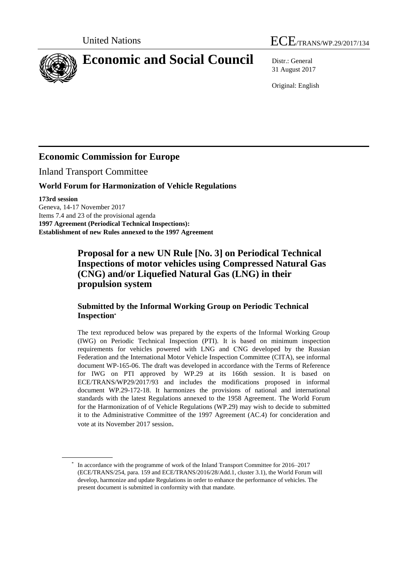

31 August 2017

Original: English

## **Economic Commission for Europe**

Inland Transport Committee

### **World Forum for Harmonization of Vehicle Regulations**

**173rd session**

Geneva, 14-17 November 2017 Items 7.4 and 23 of the provisional agenda **1997 Agreement (Periodical Technical Inspections): Establishment of new Rules annexed to the 1997 Agreement**

> **Proposal for a new UN Rule [No. 3] on Periodical Technical Inspections of motor vehicles using Compressed Natural Gas (CNG) and/or Liquefied Natural Gas (LNG) in their propulsion system**

#### **Submitted by the Informal Working Group on Periodic Technical Inspection\***

The text reproduced below was prepared by the experts of the Informal Working Group (IWG) on Periodic Technical Inspection (PTI). It is based on minimum inspection requirements for vehicles powered with LNG and СNG developed by the Russian Federation and the International Motor Vehicle Inspection Committee (CITA), see informal document WP-165-06. The draft was developed in accordance with the Terms of Reference for IWG on PTI approved by WP.29 at its 166th session. It is based on ECE/TRANS/WP29/2017/93 and includes the modifications proposed in informal document WP.29-172-18. It harmonizes the provisions of national and international standards with the latest Regulations annexed to the 1958 Agreement. The World Forum for the Harmonization of of Vehicle Regulations (WP.29) may wish to decide to submitted it to the Administrative Committee of the 1997 Agreement (AC.4) for concideration and vote at its November 2017 session.

<sup>\*</sup> In accordance with the programme of work of the Inland Transport Committee for 2016–2017 (ECE/TRANS/254, para. 159 and ECE/TRANS/2016/28/Add.1, cluster 3.1), the World Forum will develop, harmonize and update Regulations in order to enhance the performance of vehicles. The present document is submitted in conformity with that mandate.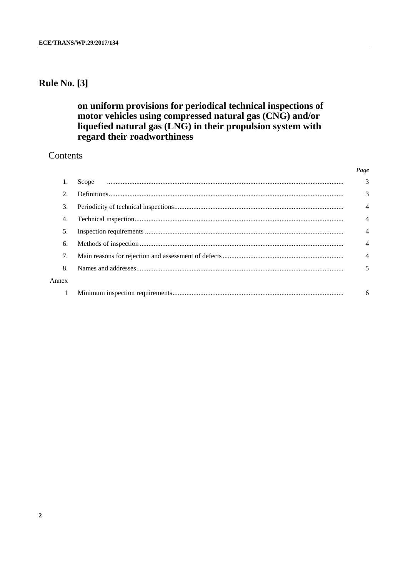## **Rule No. [3]**

## on uniform provisions for periodical technical inspections of motor vehicles using compressed natural gas (CNG) and/or liquefied natural gas (LNG) in their propulsion system with regard their roadworthiness

## Contents

|       | 3              |
|-------|----------------|
| 2.    | 3              |
| 3.    | $\overline{4}$ |
| 4.    | $\overline{4}$ |
| 5.    | $\overline{4}$ |
| 6.    | 4              |
|       | $\overline{4}$ |
| 8.    | 5              |
| Annex |                |
|       | 6              |
|       |                |

Page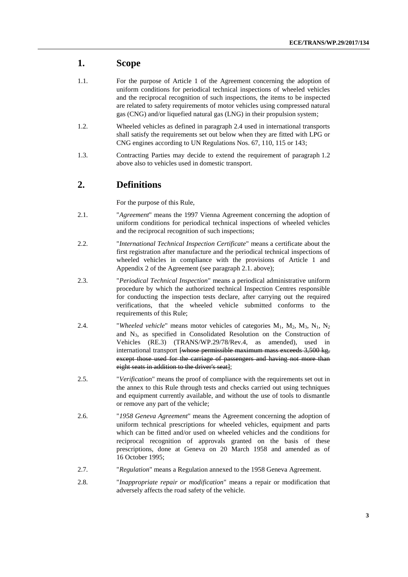#### **1. Scope**

- 1.1. For the purpose of Article 1 of the Agreement concerning the adoption of uniform conditions for periodical technical inspections of wheeled vehicles and the reciprocal recognition of such inspections, the items to be inspected are related to safety requirements of motor vehicles using compressed natural gas (CNG) and/or liquefied natural gas (LNG) in their propulsion system;
- 1.2. Wheeled vehicles as defined in paragraph 2.4 used in international transports shall satisfy the requirements set out below when they are fitted with LPG or CNG engines according to UN Regulations Nos. 67, 110, 115 or 143;
- 1.3. Contracting Parties may decide to extend the requirement of paragraph 1.2 above also to vehicles used in domestic transport.

#### **2. Definitions**

For the purpose of this Rule,

- 2.1. "*Agreement*" means the 1997 Vienna Agreement concerning the adoption of uniform conditions for periodical technical inspections of wheeled vehicles and the reciprocal recognition of such inspections;
- 2.2. "*International Technical Inspection Certificate*" means a certificate about the first registration after manufacture and the periodical technical inspections of wheeled vehicles in compliance with the provisions of Article 1 and Appendix 2 of the Agreement (see paragraph 2.1. above);
- 2.3. "*Periodical Technical Inspection*" means a periodical administrative uniform procedure by which the authorized technical Inspection Centres responsible for conducting the inspection tests declare, after carrying out the required verifications, that the wheeled vehicle submitted conforms to the requirements of this Rule;
- 2.4. "*Wheeled vehicle*" means motor vehicles of categories M<sub>1</sub>, M<sub>2</sub>, M<sub>3</sub>, N<sub>1</sub>, N<sub>2</sub> and N3, as specified in Consolidated Resolution on the Construction of Vehicles (RE.3) (TRANS/WP.29/78/Rev.4, as amended), used in international transport [whose permissible maximum mass exceeds 3,500 kg, except those used for the carriage of passengers and having not more than eight seats in addition to the driver's seat];
- 2.5. "*Verification*" means the proof of compliance with the requirements set out in the annex to this Rule through tests and checks carried out using techniques and equipment currently available, and without the use of tools to dismantle or remove any part of the vehicle;
- 2.6. "*1958 Geneva Agreement*" means the Agreement concerning the adoption of uniform technical prescriptions for wheeled vehicles, equipment and parts which can be fitted and/or used on wheeled vehicles and the conditions for reciprocal recognition of approvals granted on the basis of these prescriptions, done at Geneva on 20 March 1958 and amended as of 16 October 1995;
- 2.7. "*Regulation*" means a Regulation annexed to the 1958 Geneva Agreement.
- 2.8. "*Inappropriate repair or modification*" means a repair or modification that adversely affects the road safety of the vehicle.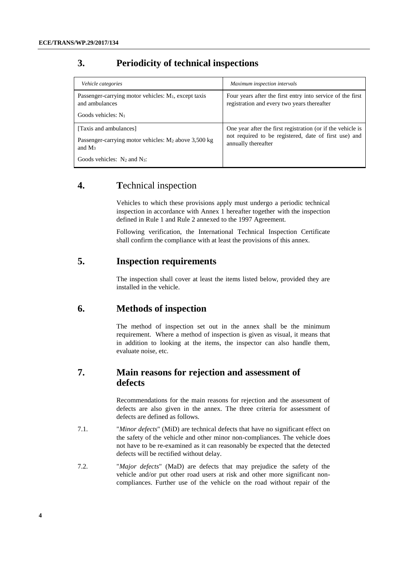## **3. Periodicity of technical inspections**

| Vehicle categories                                                        | Maximum inspection intervals                                                                                         |  |  |
|---------------------------------------------------------------------------|----------------------------------------------------------------------------------------------------------------------|--|--|
| Passenger-carrying motor vehicles: $M_1$ , except taxis<br>and ambulances | Four years after the first entry into service of the first<br>registration and every two years thereafter            |  |  |
| Goods vehicles: $N_1$                                                     |                                                                                                                      |  |  |
| [Taxis and ambulances]                                                    | One year after the first registration (or if the vehicle is<br>not required to be registered, date of first use) and |  |  |
| Passenger-carrying motor vehicles: $M_2$ above 3,500 kg<br>and $M_3$      | annually thereafter                                                                                                  |  |  |
| Goods vehicles: $N_2$ and $N_3$ :                                         |                                                                                                                      |  |  |

#### **4. T**echnical inspection

Vehicles to which these provisions apply must undergo a periodic technical inspection in accordance with Annex 1 hereafter together with the inspection defined in Rule 1 and Rule 2 annexed to the 1997 Agreement.

Following verification, the International Technical Inspection Certificate shall confirm the compliance with at least the provisions of this annex.

## **5. Inspection requirements**

The inspection shall cover at least the items listed below, provided they are installed in the vehicle.

#### **6. Methods of inspection**

The method of inspection set out in the annex shall be the minimum requirement. Where a method of inspection is given as visual, it means that in addition to looking at the items, the inspector can also handle them, evaluate noise, etc.

### **7. Main reasons for rejection and assessment of defects**

Recommendations for the main reasons for rejection and the assessment of defects are also given in the annex. The three criteria for assessment of defects are defined as follows.

- 7.1. "*Minor defects*" (MiD) are technical defects that have no significant effect on the safety of the vehicle and other minor non-compliances. The vehicle does not have to be re-examined as it can reasonably be expected that the detected defects will be rectified without delay.
- 7.2. "*Major defects*" (MaD) are defects that may prejudice the safety of the vehicle and/or put other road users at risk and other more significant noncompliances. Further use of the vehicle on the road without repair of the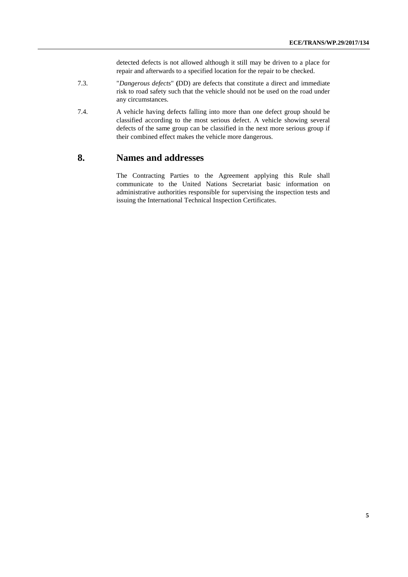detected defects is not allowed although it still may be driven to a place for repair and afterwards to a specified location for the repair to be checked.

- 7.3. "*Dangerous defects*" **(**DD) are defects that constitute a direct and immediate risk to road safety such that the vehicle should not be used on the road under any circumstances.
- 7.4. A vehicle having defects falling into more than one defect group should be classified according to the most serious defect. A vehicle showing several defects of the same group can be classified in the next more serious group if their combined effect makes the vehicle more dangerous.

#### **8. Names and addresses**

The Contracting Parties to the Agreement applying this Rule shall communicate to the United Nations Secretariat basic information on administrative authorities responsible for supervising the inspection tests and issuing the International Technical Inspection Certificates.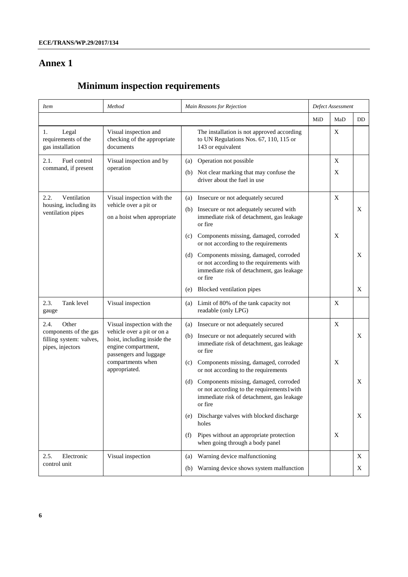## **Annex 1**

# **Minimum inspection requirements**

| <i>Item</i>                                                          | Method                                                                                                                                   | Main Reasons for Rejection                                                                                                                        |     | Defect Assessment |           |  |
|----------------------------------------------------------------------|------------------------------------------------------------------------------------------------------------------------------------------|---------------------------------------------------------------------------------------------------------------------------------------------------|-----|-------------------|-----------|--|
|                                                                      |                                                                                                                                          |                                                                                                                                                   | MiD | MaD               | <b>DD</b> |  |
| 1.<br>Legal<br>requirements of the<br>gas installation               | Visual inspection and<br>checking of the appropriate<br>documents                                                                        | The installation is not approved according<br>to UN Regulations Nos. 67, 110, 115 or<br>143 or equivalent                                         |     | X                 |           |  |
| Fuel control<br>2.1.<br>command, if present                          | Visual inspection and by<br>operation                                                                                                    | Operation not possible<br>(a)                                                                                                                     |     | $\mathbf X$       |           |  |
|                                                                      |                                                                                                                                          | Not clear marking that may confuse the<br>(b)<br>driver about the fuel in use                                                                     |     | X                 |           |  |
| 2.2.<br>Ventilation<br>housing, including its                        | Visual inspection with the<br>vehicle over a pit or<br>on a hoist when appropriate                                                       | Insecure or not adequately secured<br>(a)                                                                                                         |     | $\mathbf X$       |           |  |
| ventilation pipes                                                    |                                                                                                                                          | Insecure or not adequately secured with<br>(b)<br>immediate risk of detachment, gas leakage<br>or fire                                            |     |                   | X         |  |
|                                                                      |                                                                                                                                          | Components missing, damaged, corroded<br>(c)<br>or not according to the requirements                                                              |     | X                 |           |  |
|                                                                      |                                                                                                                                          | Components missing, damaged, corroded<br>(d)<br>or not according to the requirements with<br>immediate risk of detachment, gas leakage<br>or fire |     |                   | X         |  |
|                                                                      |                                                                                                                                          | Blocked ventilation pipes<br>(e)                                                                                                                  |     |                   | X         |  |
| 2.3.<br>Tank level<br>gauge                                          | Visual inspection                                                                                                                        | Limit of 80% of the tank capacity not<br>(a)<br>readable (only LPG)                                                                               |     | $\mathbf X$       |           |  |
| Other<br>2.4.                                                        | Visual inspection with the<br>vehicle over a pit or on a<br>hoist, including inside the<br>engine compartment,<br>passengers and luggage | Insecure or not adequately secured<br>(a)                                                                                                         |     | X                 |           |  |
| components of the gas<br>filling system: valves,<br>pipes, injectors |                                                                                                                                          | Insecure or not adequately secured with<br>(b)<br>immediate risk of detachment, gas leakage<br>or fire                                            |     |                   | X         |  |
|                                                                      | compartments when<br>appropriated.                                                                                                       | Components missing, damaged, corroded<br>(c)<br>or not according to the requirements                                                              |     | X                 |           |  |
|                                                                      |                                                                                                                                          | Components missing, damaged, corroded<br>(d)<br>or not according to the requirements1with<br>immediate risk of detachment, gas leakage<br>or fire |     |                   | X         |  |
|                                                                      |                                                                                                                                          | Discharge valves with blocked discharge<br>(e)<br>holes                                                                                           |     |                   | X         |  |
|                                                                      |                                                                                                                                          | Pipes without an appropriate protection<br>(f)<br>when going through a body panel                                                                 |     | X                 |           |  |
| 2.5.<br>Electronic<br>control unit                                   | Visual inspection                                                                                                                        | Warning device malfunctioning<br>(a)                                                                                                              |     |                   | X         |  |
|                                                                      |                                                                                                                                          | Warning device shows system malfunction<br>(b)                                                                                                    |     |                   | X         |  |